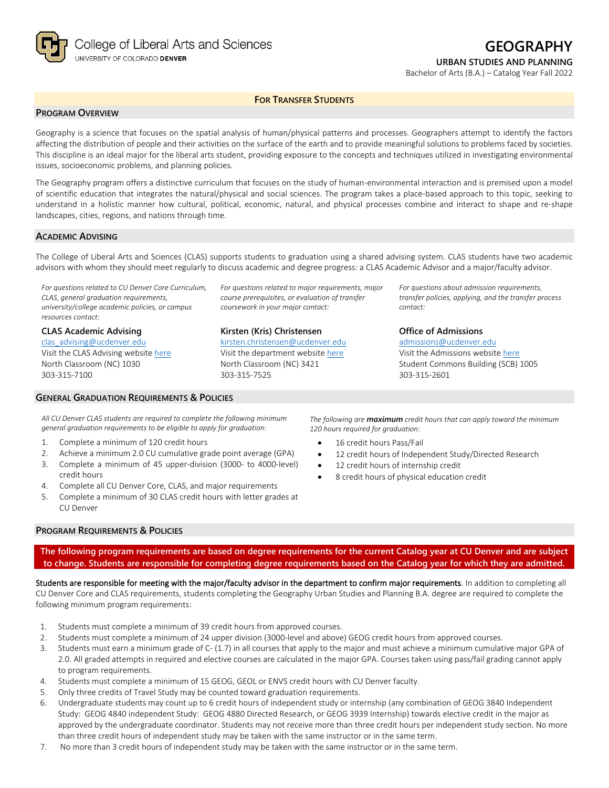

# **GEOGRAPHY**

**URBAN STUDIES AND PLANNING**

Bachelor of Arts (B.A.) – Catalog Year Fall 2022

#### **FOR TRANSFER STUDENTS**

## **PROGRAM OVERVIEW**

Geography is a science that focuses on the spatial analysis of human/physical patterns and processes. Geographers attempt to identify the factors affecting the distribution of people and their activities on the surface of the earth and to provide meaningful solutions to problems faced by societies. This discipline is an ideal major for the liberal arts student, providing exposure to the concepts and techniques utilized in investigating environmental issues, socioeconomic problems, and planning policies.

The Geography program offers a distinctive curriculum that focuses on the study of human-environmental interaction and is premised upon a model of scientific education that integrates the natural/physical and social sciences. The program takes a place-based approach to this topic, seeking to understand in a holistic manner how cultural, political, economic, natural, and physical processes combine and interact to shape and re-shape landscapes, cities, regions, and nations through time.

#### **ACADEMIC ADVISING**

The College of Liberal Arts and Sciences (CLAS) supports students to graduation using a shared advising system. CLAS students have two academic advisors with whom they should meet regularly to discuss academic and degree progress: a CLAS Academic Advisor and a major/faculty advisor.

*For questions related to CU Denver Core Curriculum, CLAS, general graduation requirements, university/college academic policies, or campus resources contact:*

#### **CLAS Academic Advising**

[clas\\_advising@ucdenver.edu](mailto:clas_advising@ucdenver.edu) Visit the CLAS Advising websit[e here](https://clas.ucdenver.edu/advising/) North Classroom (NC) 1030 303-315-7100

### **GENERAL GRADUATION REQUIREMENTS & POLICIES**

*For questions related to major requirements, major course prerequisites, or evaluation of transfer coursework in your major contact:*

### **Kirsten (Kris) Christensen**

[kirsten.christensen@ucdenver.edu](mailto:kirsten.christensen@ucdenver.edu) Visit the department website [here](https://clas.ucdenver.edu/ges/) North Classroom (NC) 3421 303-315-7525

*For questions about admission requirements, transfer policies, applying, and the transfer process contact:*

### **Office of Admissions**

[admissions@ucdenver.edu](mailto:admissions@ucdenver.edu) Visit the Admissions website [here](http://www.ucdenver.edu/admissions/Pages/index.aspx) Student Commons Building (SCB) 1005 303-315-2601

*All CU Denver CLAS students are required to complete the following minimum general graduation requirements to be eligible to apply for graduation:*

- 1. Complete a minimum of 120 credit hours
- 2. Achieve a minimum 2.0 CU cumulative grade point average (GPA)
- 3. Complete a minimum of 45 upper-division (3000- to 4000-level) credit hours
- 4. Complete all CU Denver Core, CLAS, and major requirements
- 5. Complete a minimum of 30 CLAS credit hours with letter grades at CU Denver

*The following are maximum credit hours that can apply toward the minimum 120 hours required for graduation:*

- 16 credit hours Pass/Fail
- 12 credit hours of Independent Study/Directed Research
- 12 credit hours of internship credit
- 8 credit hours of physical education credit

#### **PROGRAM REQUIREMENTS & POLICIES**

**The following program requirements are based on degree requirements for the current Catalog year at CU Denver and are subject to change. Students are responsible for completing degree requirements based on the Catalog year for which they are admitted.**

Students are responsible for meeting with the major/faculty advisor in the department to confirm major requirements. In addition to completing all CU Denver Core and CLAS requirements, students completing the Geography Urban Studies and Planning B.A. degree are required to complete the following minimum program requirements:

- 1. Students must complete a minimum of 39 credit hours from approved courses.
- 2. Students must complete a minimum of 24 upper division (3000-level and above) GEOG credit hours from approved courses.
- 3. Students must earn a minimum grade of C- (1.7) in all courses that apply to the major and must achieve a minimum cumulative major GPA of 2.0. All graded attempts in required and elective courses are calculated in the major GPA. Courses taken using pass/fail grading cannot apply to program requirements.
- 4. Students must complete a minimum of 15 GEOG, GEOL or ENVS credit hours with CU Denver faculty.
- 5. Only three credits of Travel Study may be counted toward graduation requirements.
- 6. Undergraduate students may count up to 6 credit hours of independent study or internship (any combination of GEOG 3840 Independent Study: GEOG 4840 independent Study: GEOG 4880 Directed Research, or GEOG 3939 Internship) towards elective credit in the major as approved by the undergraduate coordinator. Students may not receive more than three credit hours per independent study section. No more than three credit hours of independent study may be taken with the same instructor or in the same term.
- 7. No more than 3 credit hours of independent study may be taken with the same instructor or in the same term.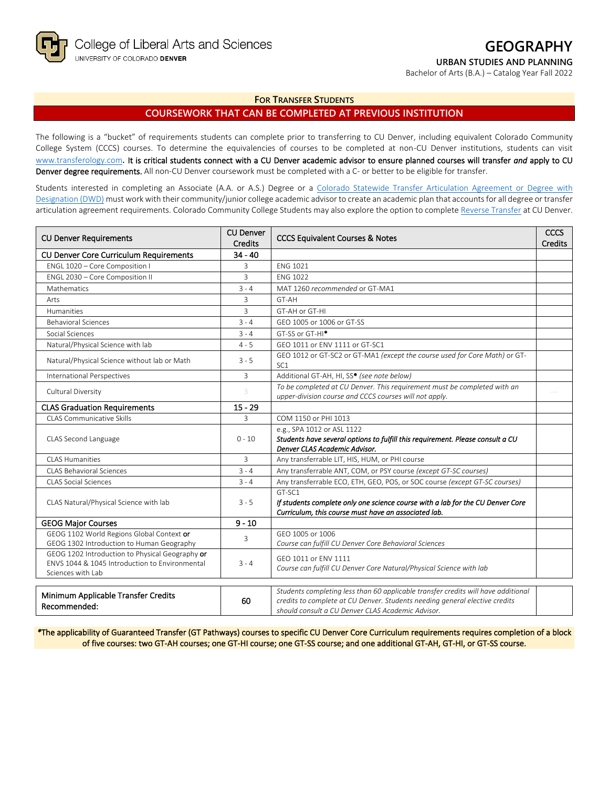

# **GEOGRAPHY**

**URBAN STUDIES AND PLANNING**

Bachelor of Arts (B.A.) – Catalog Year Fall 2022

**FOR TRANSFER STUDENTS**

## **COURSEWORK THAT CAN BE COMPLETED AT PREVIOUS INSTITUTION**

The following is a "bucket" of requirements students can complete prior to transferring to CU Denver, including equivalent Colorado Community College System (CCCS) courses. To determine the equivalencies of courses to be completed at non-CU Denver institutions, students can visit [www.transferology.com](http://www.transferology.com/)**.** It is critical students connect with a CU Denver academic advisor to ensure planned courses will transfer *and* apply to CU Denver degree requirements. All non-CU Denver coursework must be completed with a C- or better to be eligible for transfer.

Students interested in completing an Associate (A.A. or A.S.) Degree or a Colorado Statewide Transfer Articulation Agreement or Degree with [Designation \(DWD\)](https://highered.colorado.gov/transfer-degrees) must work with their community/junior college academic advisor to create an academic plan that accounts for all degree or transfer articulation agreement requirements. Colorado Community College Students may also explore the option to complet[e Reverse Transfer](https://highered.colorado.gov/students/attending-college/colorado-reverse-transfer) at CU Denver.

| <b>CU Denver Requirements</b>                                                                                          | <b>CU Denver</b><br>Credits | <b>CCCS Equivalent Courses &amp; Notes</b>                                                                                                                                                                            | CCCS<br><b>Credits</b> |
|------------------------------------------------------------------------------------------------------------------------|-----------------------------|-----------------------------------------------------------------------------------------------------------------------------------------------------------------------------------------------------------------------|------------------------|
| <b>CU Denver Core Curriculum Requirements</b>                                                                          | $34 - 40$                   |                                                                                                                                                                                                                       |                        |
| ENGL 1020 - Core Composition I                                                                                         | 3                           | <b>ENG 1021</b>                                                                                                                                                                                                       |                        |
| ENGL 2030 - Core Composition II                                                                                        | 3                           | <b>ENG 1022</b>                                                                                                                                                                                                       |                        |
| Mathematics<br>$3 - 4$                                                                                                 |                             | MAT 1260 recommended or GT-MA1                                                                                                                                                                                        |                        |
| Arts                                                                                                                   | 3                           | GT-AH                                                                                                                                                                                                                 |                        |
| Humanities                                                                                                             | 3                           | GT-AH or GT-HI                                                                                                                                                                                                        |                        |
| <b>Behavioral Sciences</b>                                                                                             | $3 - 4$                     | GEO 1005 or 1006 or GT-SS                                                                                                                                                                                             |                        |
| Social Sciences                                                                                                        | $3 - 4$                     | GT-SS or GT-HI <sup>*</sup>                                                                                                                                                                                           |                        |
| Natural/Physical Science with lab                                                                                      | $4 - 5$                     | GEO 1011 or ENV 1111 or GT-SC1                                                                                                                                                                                        |                        |
| Natural/Physical Science without lab or Math                                                                           | $3 - 5$                     | GEO 1012 or GT-SC2 or GT-MA1 (except the course used for Core Math) or GT-<br>SC <sub>1</sub>                                                                                                                         |                        |
| <b>International Perspectives</b>                                                                                      | $\overline{3}$              | Additional GT-AH, HI, SS* (see note below)                                                                                                                                                                            |                        |
| Cultural Diversity                                                                                                     |                             | To be completed at CU Denver. This requirement must be completed with an<br>upper-division course and CCCS courses will not apply.                                                                                    |                        |
| <b>CLAS Graduation Requirements</b>                                                                                    | $15 - 29$                   |                                                                                                                                                                                                                       |                        |
| <b>CLAS Communicative Skills</b>                                                                                       | 3                           | COM 1150 or PHI 1013                                                                                                                                                                                                  |                        |
| CLAS Second Language                                                                                                   | $0 - 10$                    | e.g., SPA 1012 or ASL 1122<br>Students have several options to fulfill this requirement. Please consult a CU<br>Denver CLAS Academic Advisor.                                                                         |                        |
| CLAS Humanities                                                                                                        | $\overline{3}$              | Any transferrable LIT, HIS, HUM, or PHI course                                                                                                                                                                        |                        |
| <b>CLAS Behavioral Sciences</b>                                                                                        | $3 - 4$                     | Any transferrable ANT, COM, or PSY course (except GT-SC courses)                                                                                                                                                      |                        |
| <b>CLAS Social Sciences</b>                                                                                            | $3 - 4$                     | Any transferrable ECO, ETH, GEO, POS, or SOC course (except GT-SC courses)                                                                                                                                            |                        |
| CLAS Natural/Physical Science with lab                                                                                 | $3 - 5$                     | GT-SC1<br>If students complete only one science course with a lab for the CU Denver Core<br>Curriculum, this course must have an associated lab.                                                                      |                        |
| <b>GEOG Major Courses</b>                                                                                              | $9 - 10$                    |                                                                                                                                                                                                                       |                        |
| GEOG 1102 World Regions Global Context or<br>GEOG 1302 Introduction to Human Geography                                 | 3                           | GEO 1005 or 1006<br>Course can fulfill CU Denver Core Behavioral Sciences                                                                                                                                             |                        |
| GEOG 1202 Introduction to Physical Geography or<br>ENVS 1044 & 1045 Introduction to Environmental<br>Sciences with Lab | $3 - 4$                     | GFO 1011 or FNV 1111<br>Course can fulfill CU Denver Core Natural/Physical Science with lab                                                                                                                           |                        |
| Minimum Applicable Transfer Credits<br>Recommended:                                                                    | 60                          | Students completing less than 60 applicable transfer credits will have additional<br>credits to complete at CU Denver. Students needing general elective credits<br>should consult a CU Denver CLAS Academic Advisor. |                        |

*\**The applicability of Guaranteed Transfer (GT Pathways) courses to specific CU Denver Core Curriculum requirements requires completion of a block of five courses: two GT-AH courses; one GT-HI course; one GT-SS course; and one additional GT-AH, GT-HI, or GT-SS course.